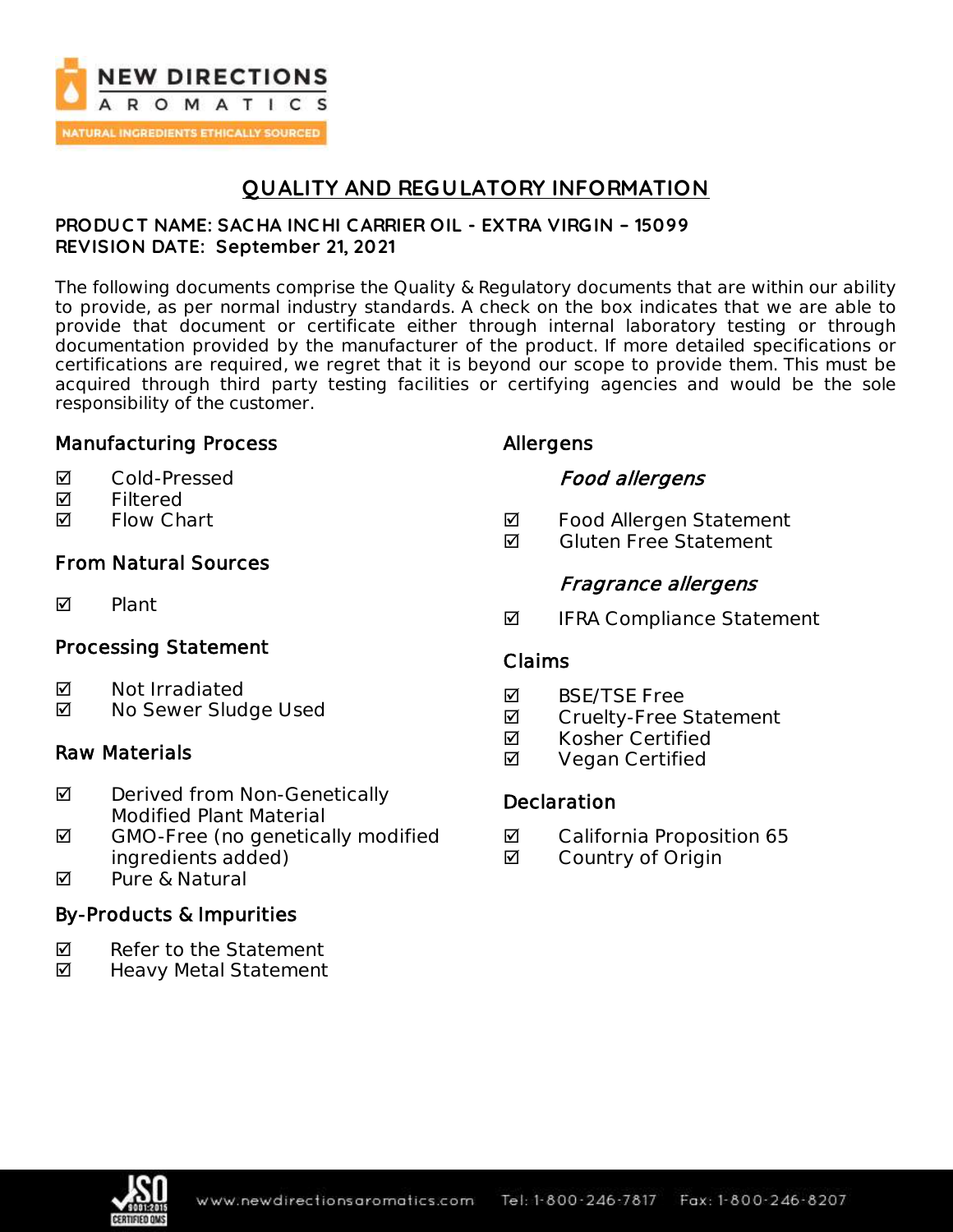

## **QUALITY AND REGULATORY INFORMATION**

#### **PRODUC T NAME: SAC HA INC HI CARRIER OIL - EXTRA VIRGIN – 15099 REVISION DATE: September 21, 2021**

The following documents comprise the Quality & Regulatory documents that are within our ability to provide, as per normal industry standards. A check on the box indicates that we are able to provide that document or certificate either through internal laboratory testing or through documentation provided by the manufacturer of the product. If more detailed specifications or certifications are required, we regret that it is beyond our scope to provide them. This must be acquired through third party testing facilities or certifying agencies and would be the sole responsibility of the customer.

## Manufacturing Process

- Cold-Pressed
- **Ø** Filtered
- **Ø** Flow Chart

## From Natural Sources

**M** Plant

## Processing Statement

- **Ø** Not Irradiated
- No Sewer Sludge Used

### Raw Materials

- **Ø** Derived from Non-Genetically Modified Plant Material
- $\boxtimes$  GMO-Free (no genetically modified ingredients added)
- **M** Pure & Natural

## By-Products & Impurities

- $\nabla$  Refer to the Statement
- ◘ Heavy Metal Statement

## Allergens

## Food allergens

- **Ø** Food Allergen Statement
- $\blacksquare$  Gluten Free Statement

## Fragrance allergens

 $\blacksquare$  IFRA Compliance Statement

### Claims

- **M** BSF/TSF Free
- **Ø** Cruelty-Free Statement
- **Ø** Kosher Certified
- **Ø** Vegan Certified

## **Declaration**

- **Ø** California Proposition 65
- **Ø** Country of Origin

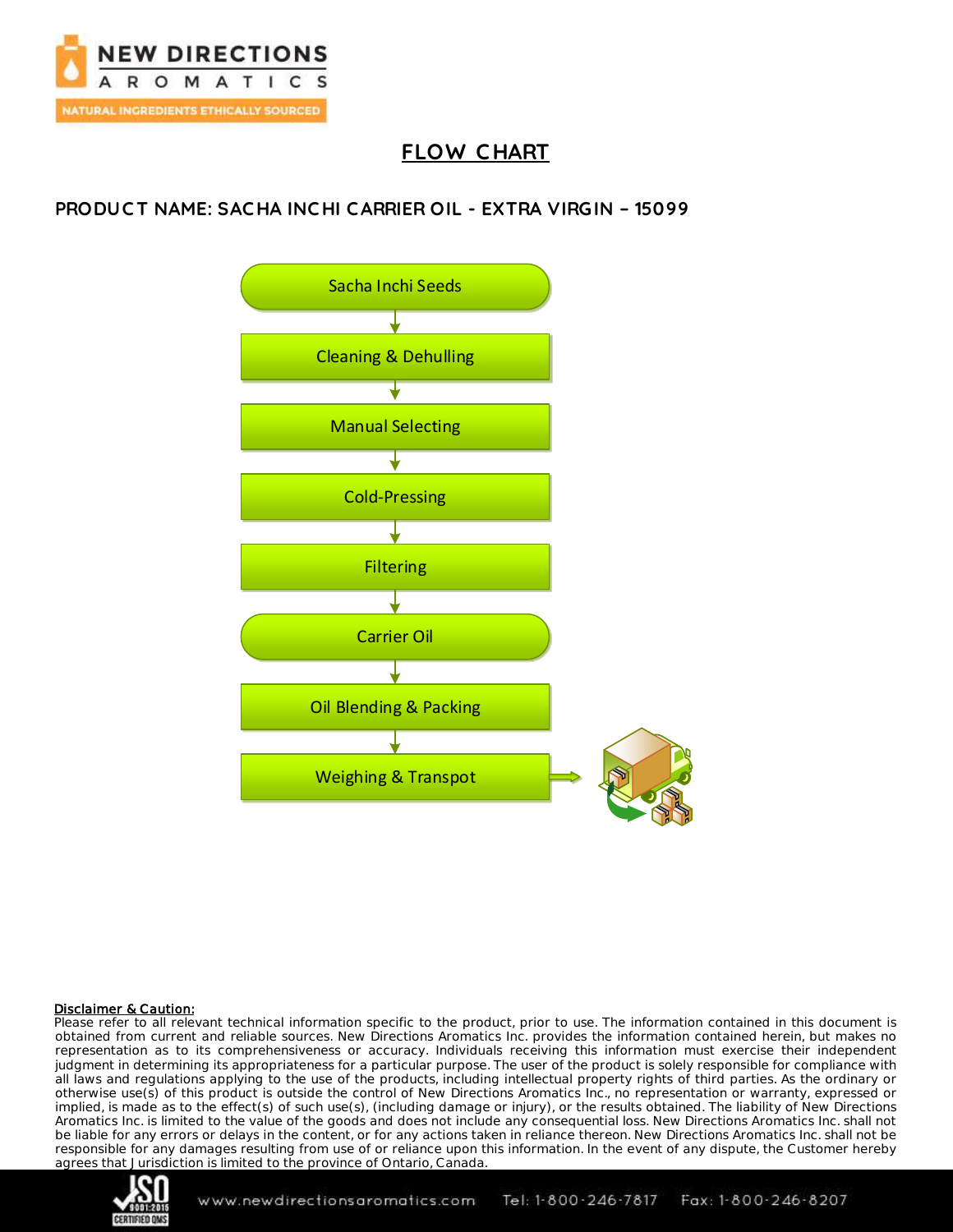

# **FLOW C HART**

## **PRODUC T NAME: SAC HA INC HI CARRIER OIL - EXTRA VIRGIN – 15099**



#### Disclaimer & Caution:

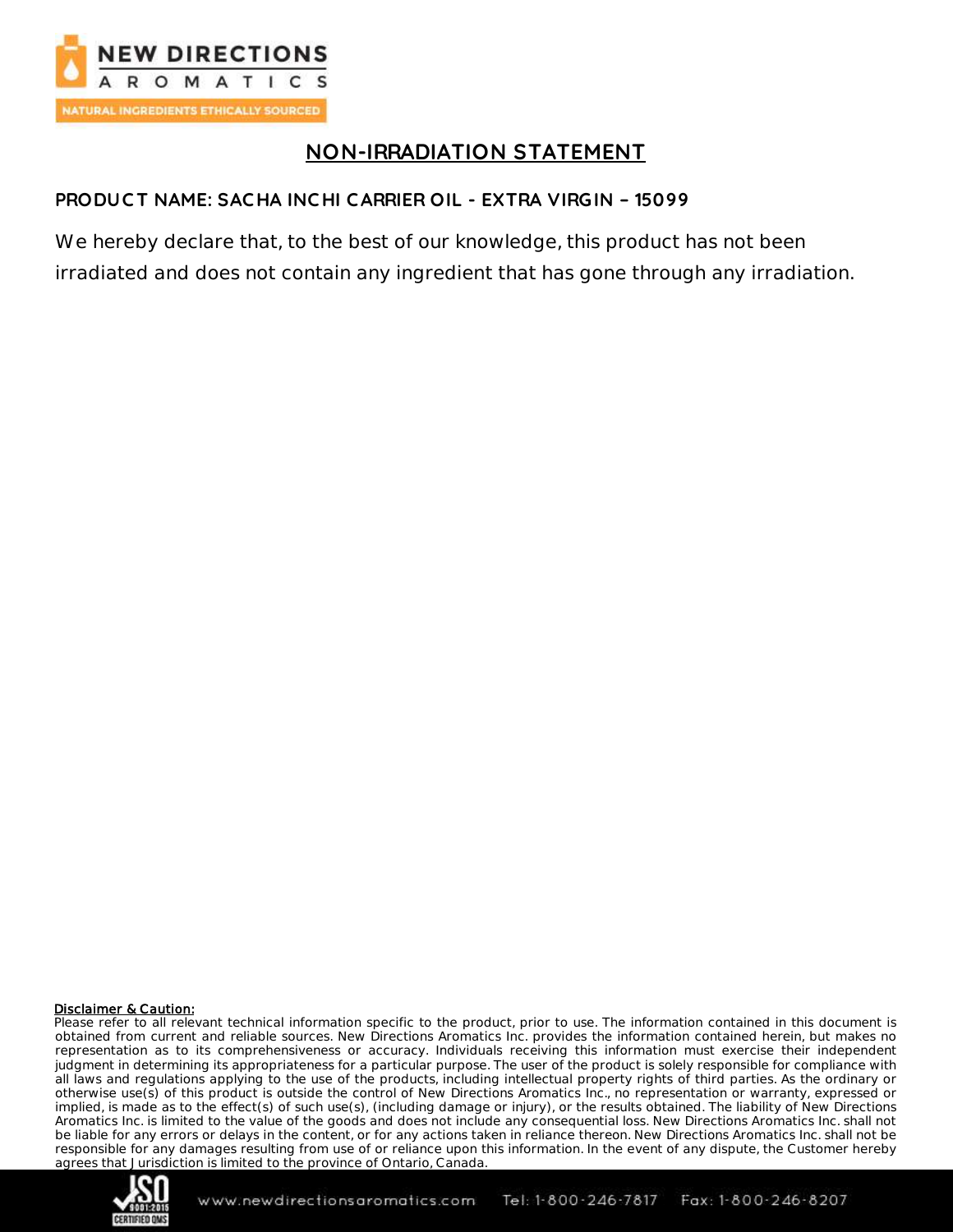

## **NON-IRRADIATION STATEMENT**

### **PRODUCT NAME: SAC HA INC HI CARRIER OIL - EXTRA VIRGIN – 15099**

We hereby declare that, to the best of our knowledge, this product has not been irradiated and does not contain any ingredient that has gone through any irradiation.

#### Disclaimer & Caution:

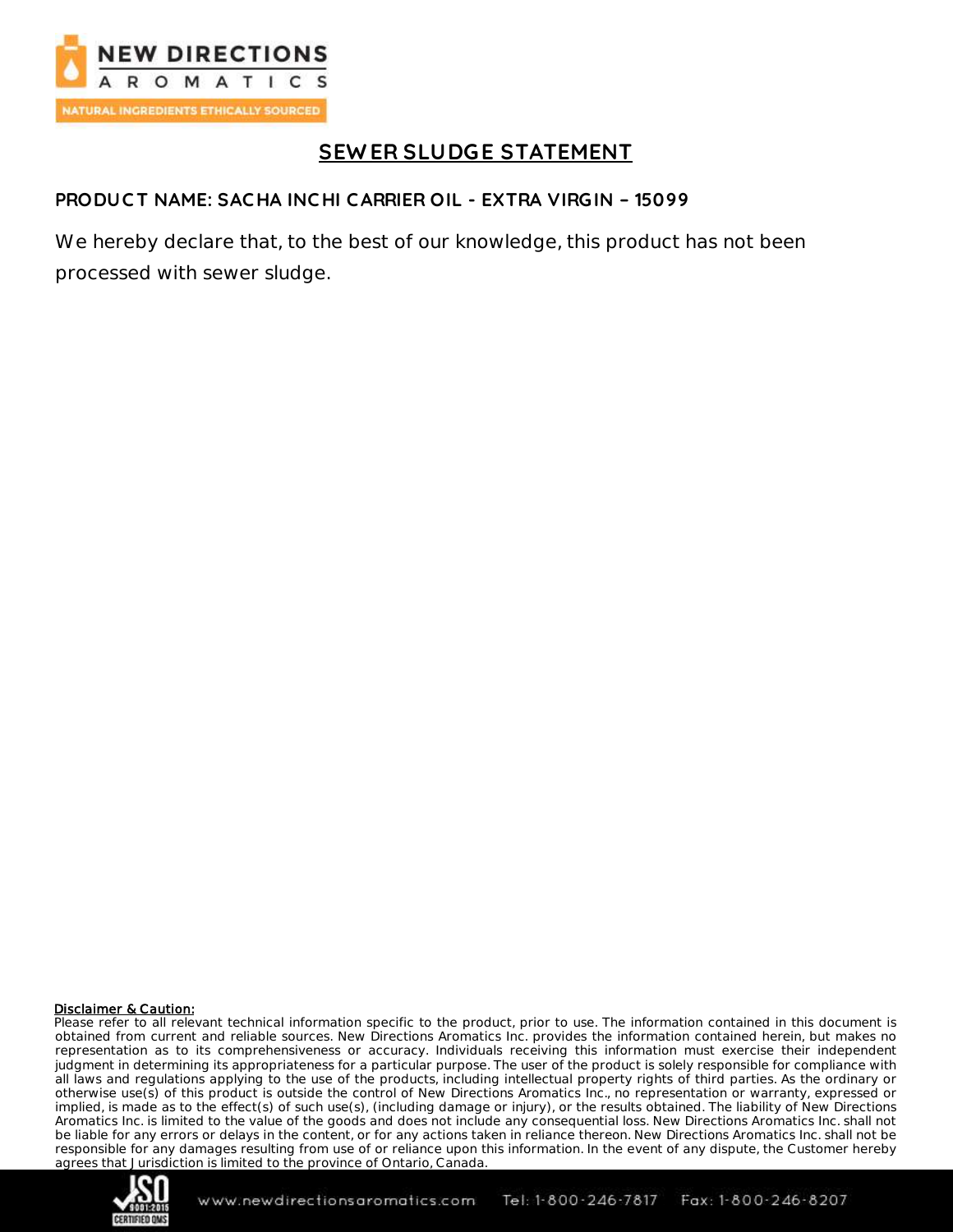

# **SEW ER SLUDGE STATEMENT**

#### **PRODUC T NAME: SAC HA INC HI CARRIER OIL - EXTRA VIRGIN – 15099**

We hereby declare that, to the best of our knowledge, this product has not been processed with sewer sludge.

#### Disclaimer & Caution:

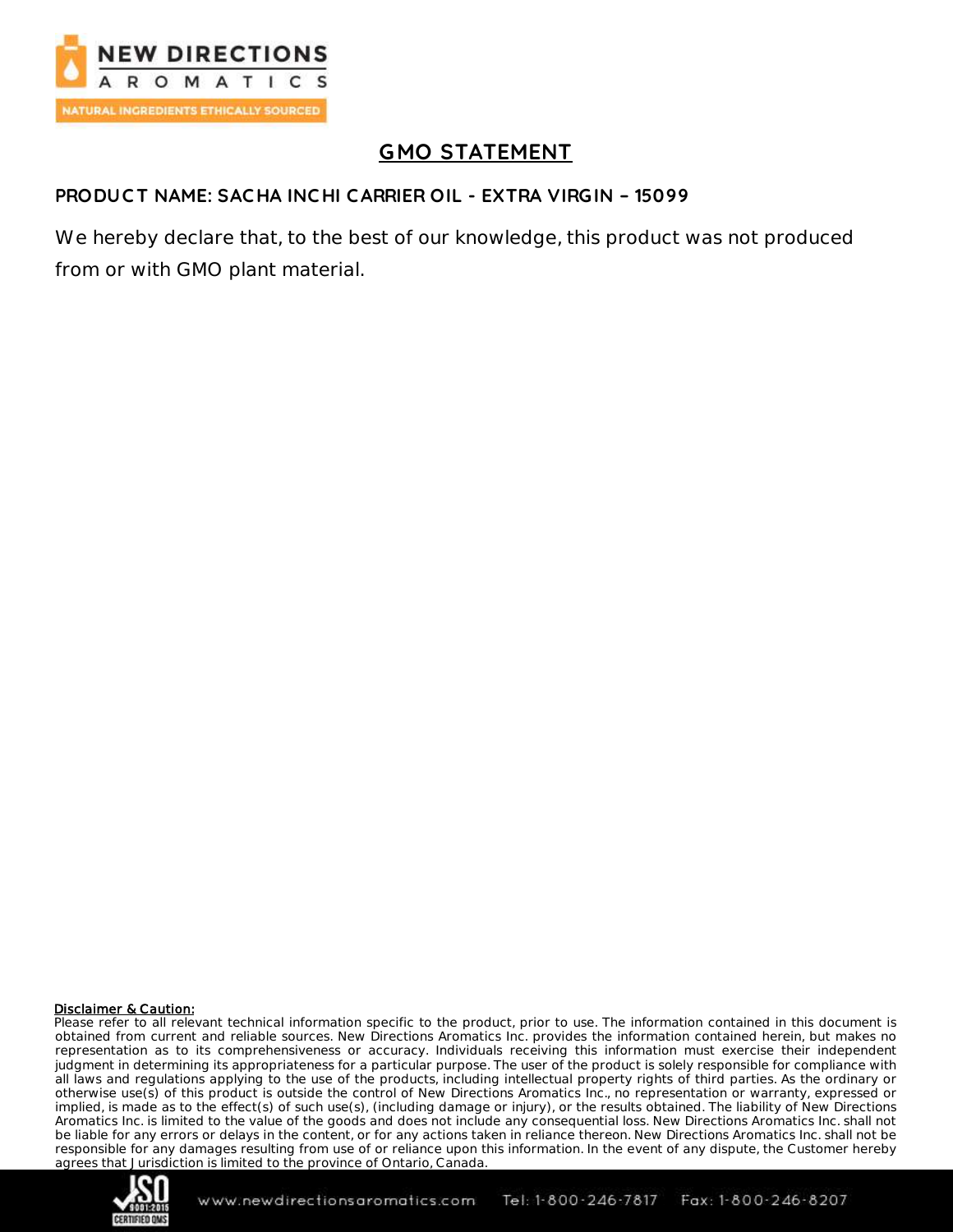

# **GMO STATEMENT**

#### **PRODUC T NAME: SAC HA INC HI CARRIER OIL - EXTRA VIRGIN – 15099**

We hereby declare that, to the best of our knowledge, this product was not produced from or with GMO plant material.

#### Disclaimer & Caution:

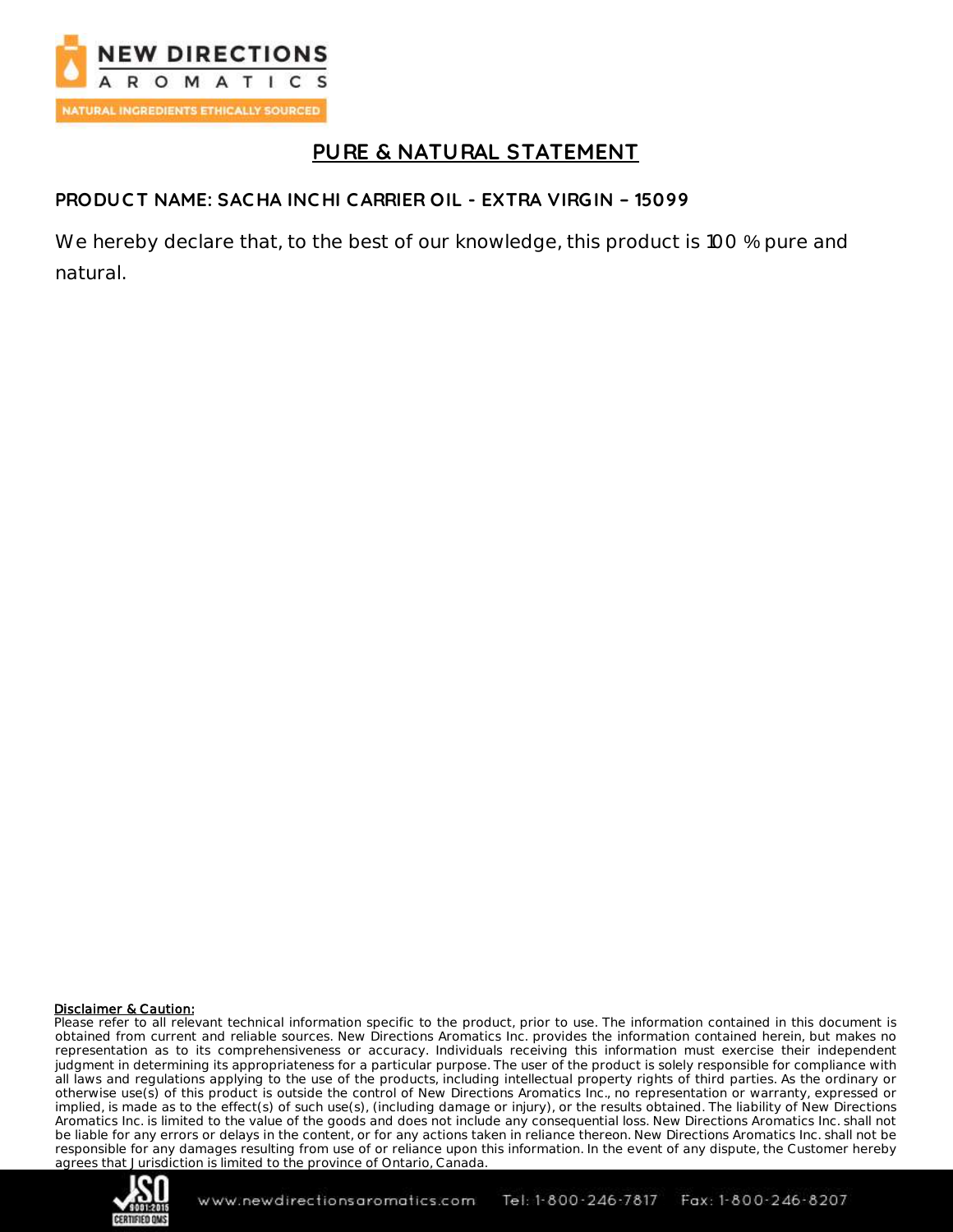

## **PURE & NATURAL STATEMENT**

### **PRODUC T NAME: SAC HA INC HI CARRIER OIL - EXTRA VIRGIN – 15099**

We hereby declare that, to the best of our knowledge, this product is 100 % pure and natural.

#### Disclaimer & Caution:

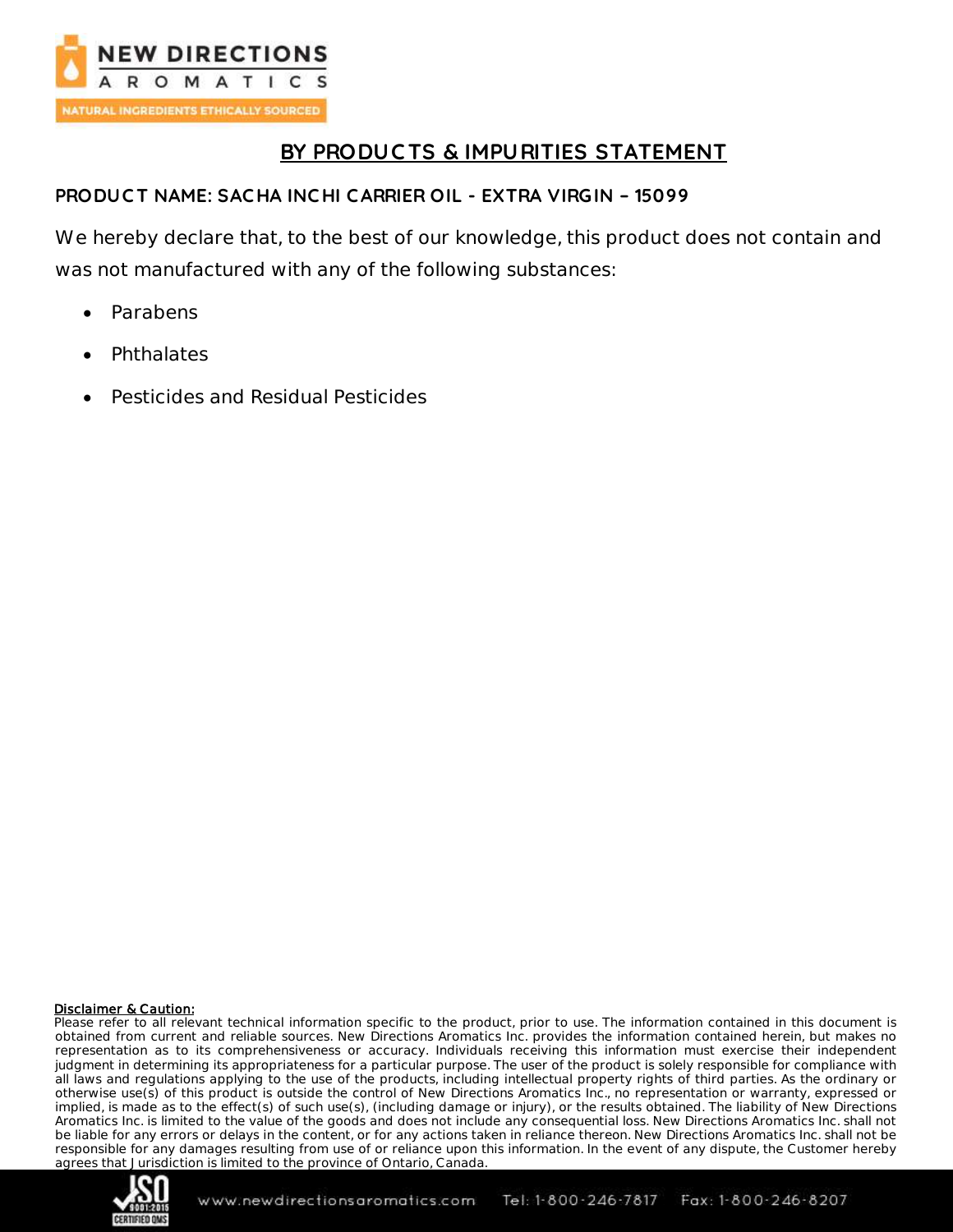

## **BY PRODUC TS & IMPURITIES STATEMENT**

#### **PRODUC T NAME: SAC HA INC HI CARRIER OIL - EXTRA VIRGIN – 15099**

We hereby declare that, to the best of our knowledge, this product does not contain and was not manufactured with any of the following substances:

- Parabens
- Phthalates
- Pesticides and Residual Pesticides

#### Disclaimer & Caution:

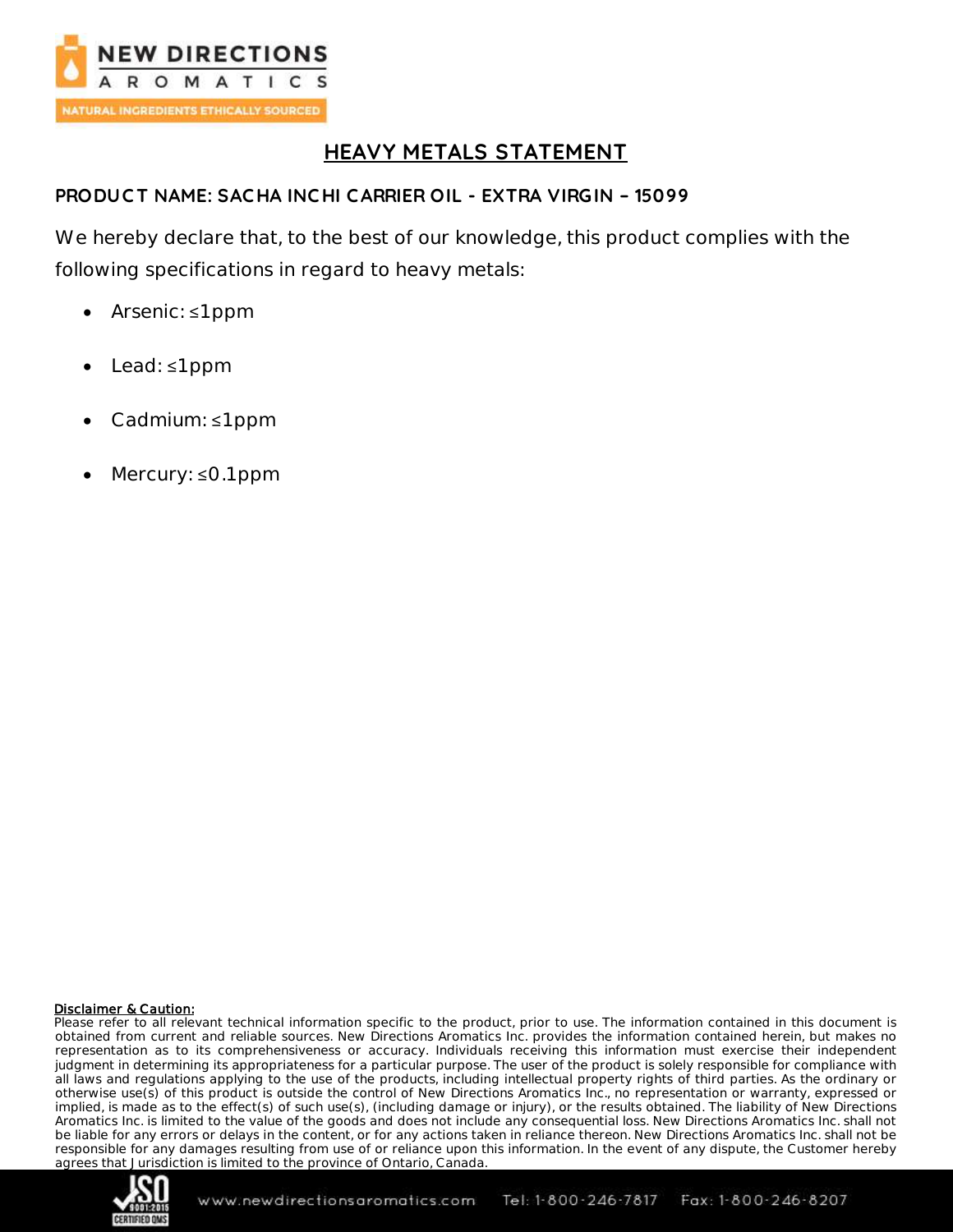

## **HEAVY METALS STATEMENT**

### **PRODUC T NAME: SAC HA INC HI CARRIER OIL - EXTRA VIRGIN – 15099**

We hereby declare that, to the best of our knowledge, this product complies with the following specifications in regard to heavy metals:

- Arsenic: ≤1 ppm
- Lead: ≤1 ppm
- Cadmium: ≤1 ppm
- Mercury: ≤0.1 ppm

#### Disclaimer & Caution:

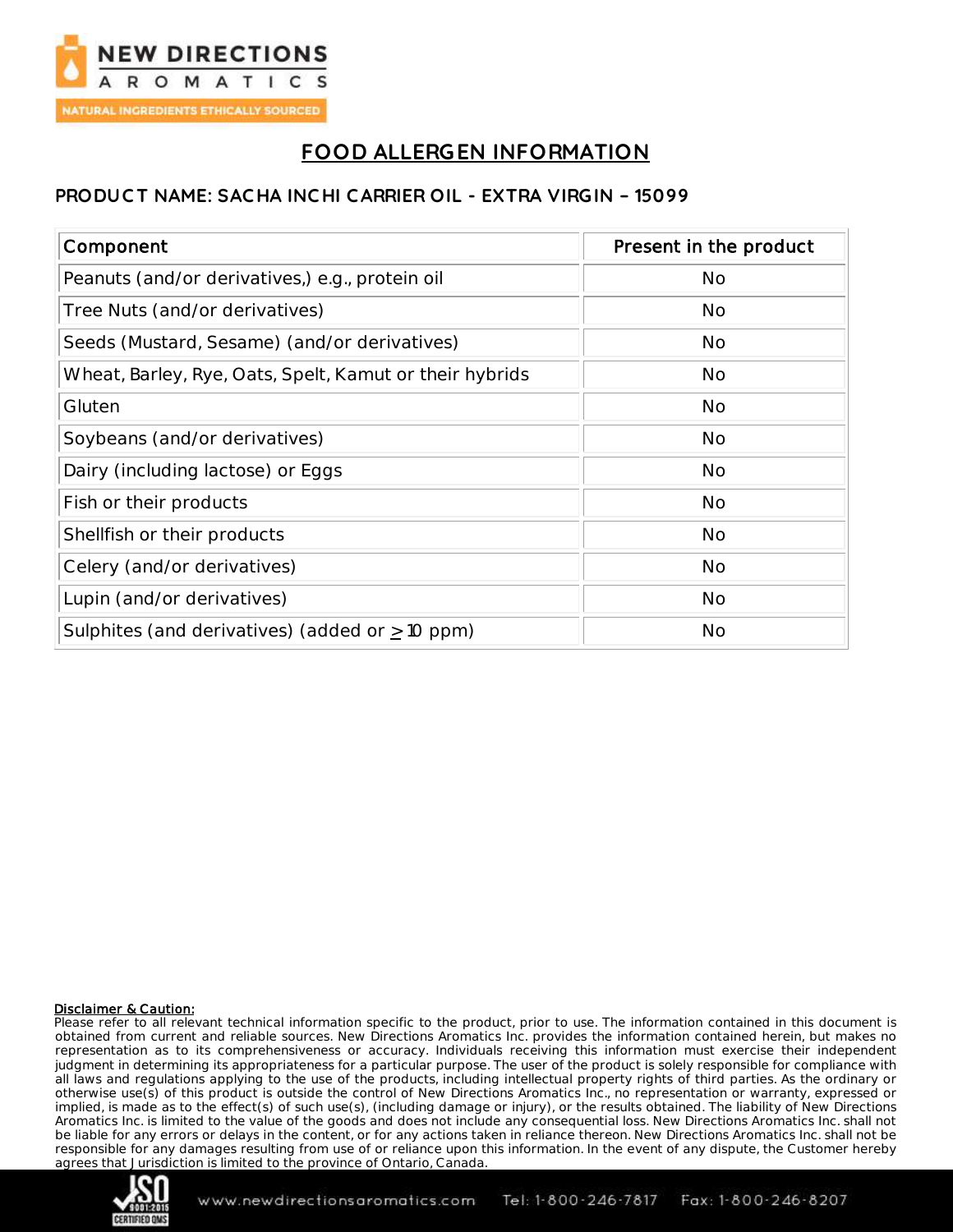

# **FOOD ALLERGEN INFORMATION**

#### **PRODUC T NAME: SAC HA INC HI CARRIER OIL - EXTRA VIRGIN – 15099**

| Component                                               | Present in the product |
|---------------------------------------------------------|------------------------|
| Peanuts (and/or derivatives,) e.g., protein oil         | <b>No</b>              |
| Tree Nuts (and/or derivatives)                          | No                     |
| Seeds (Mustard, Sesame) (and/or derivatives)            | No                     |
| Wheat, Barley, Rye, Oats, Spelt, Kamut or their hybrids | No                     |
| Gluten                                                  | No                     |
| Soybeans (and/or derivatives)                           | <b>No</b>              |
| Dairy (including lactose) or Eggs                       | <b>No</b>              |
| Fish or their products                                  | <b>No</b>              |
| Shellfish or their products                             | <b>No</b>              |
| Celery (and/or derivatives)                             | No                     |
| Lupin (and/or derivatives)                              | No                     |
| Sulphites (and derivatives) (added or $\geq$ 10 ppm)    | No                     |

#### Disclaimer & Caution:

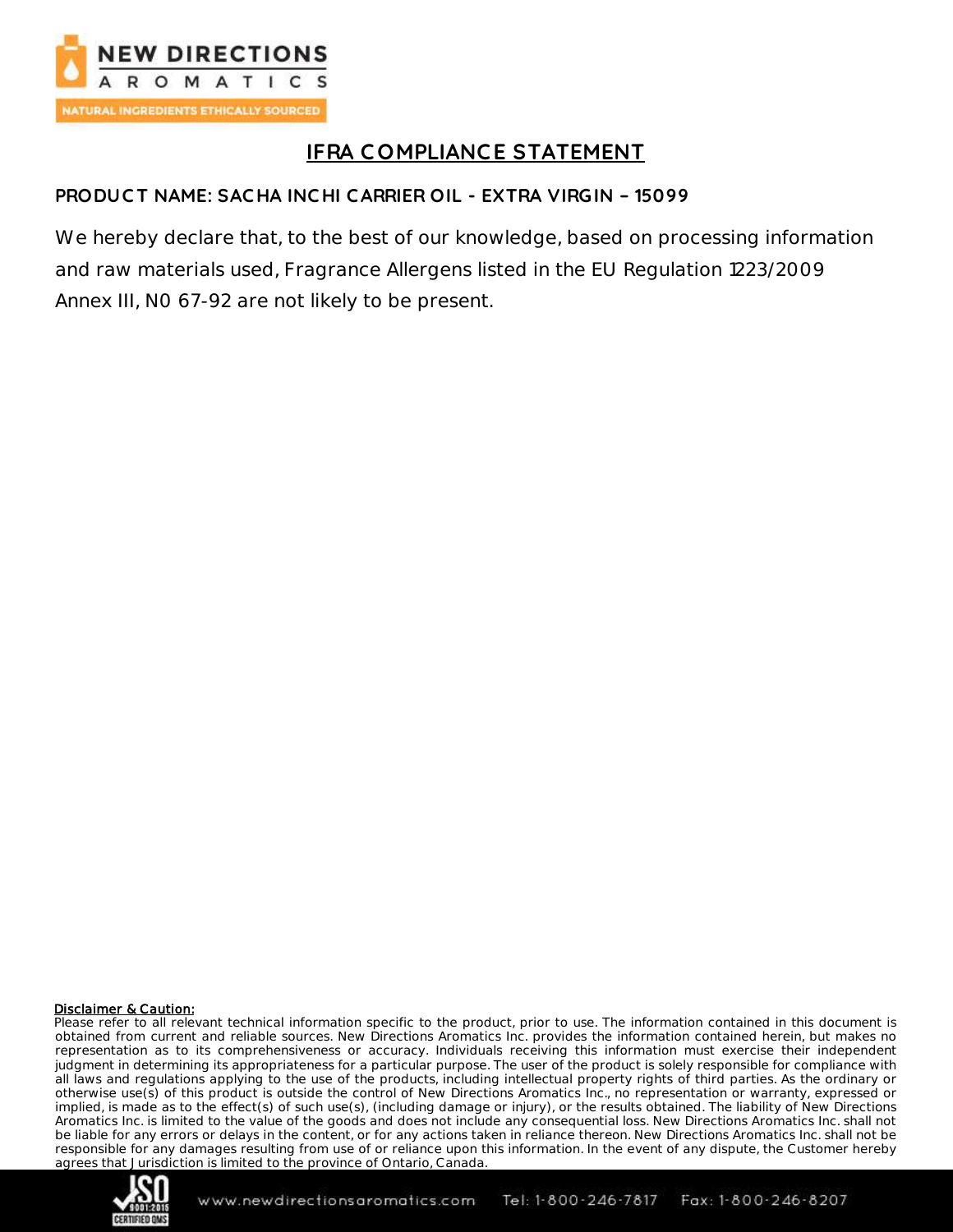

# **IFRA C OMPLIANCE STATEMENT**

### **PRODUC T NAME: SAC HA INC HI CARRIER OIL - EXTRA VIRGIN – 15099**

We hereby declare that, to the best of our knowledge, based on processing information and raw materials used, Fragrance Allergens listed in the EU Regulation 1223/2009 Annex III, N0 67-92 are not likely to be present.

#### Disclaimer & Caution:

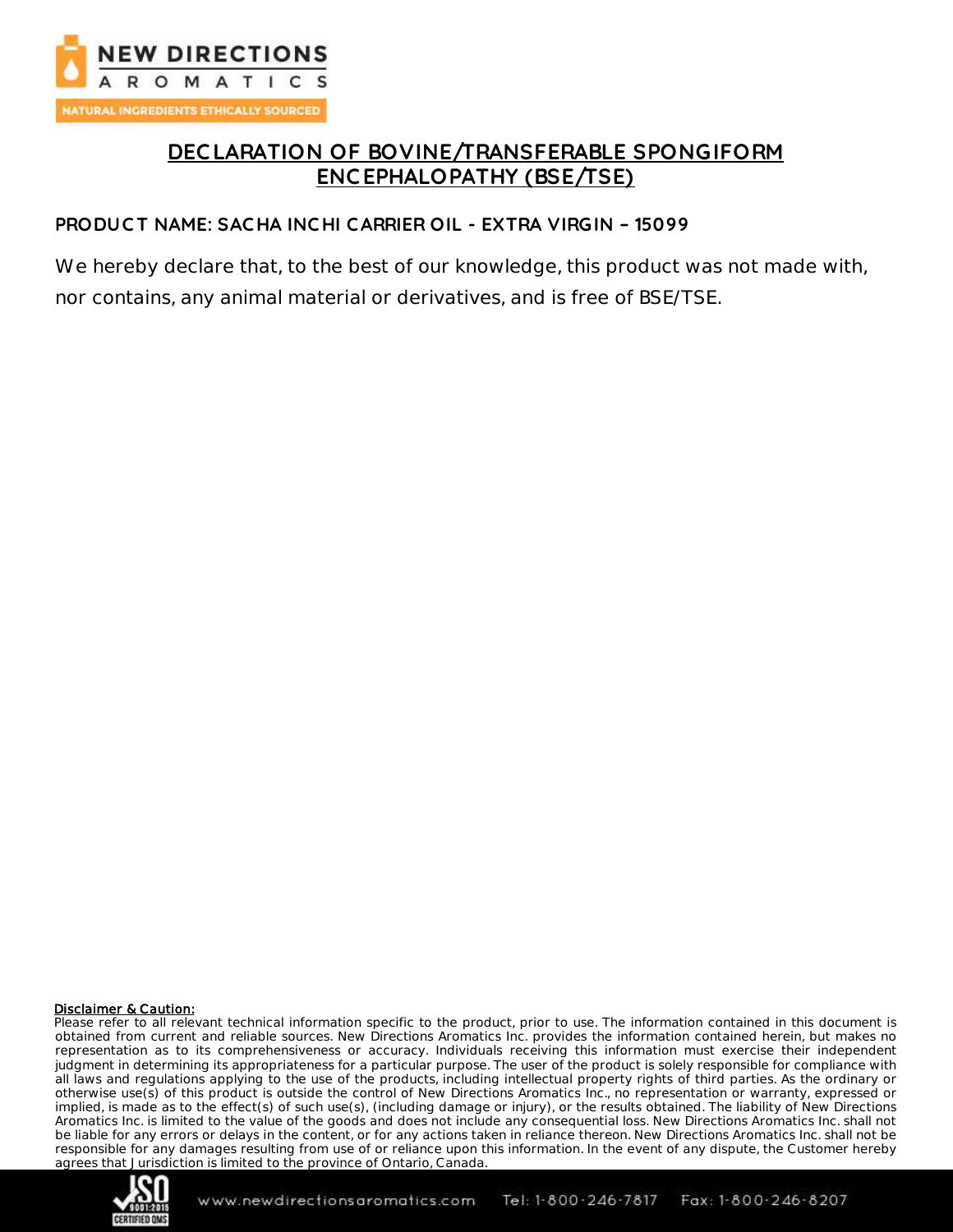

## **DEC LARATION OF BOVINE/TRANSFERABLE SPONGIFORM ENC EPHALOPATHY (BSE/TSE)**

#### **PRODUC T NAME: SAC HA INC HI CARRIER OIL - EXTRA VIRGIN – 15099**

We hereby declare that, to the best of our knowledge, this product was not made with, nor contains, any animal material or derivatives, and is free of BSE/TSE.

#### Disclaimer & Caution:

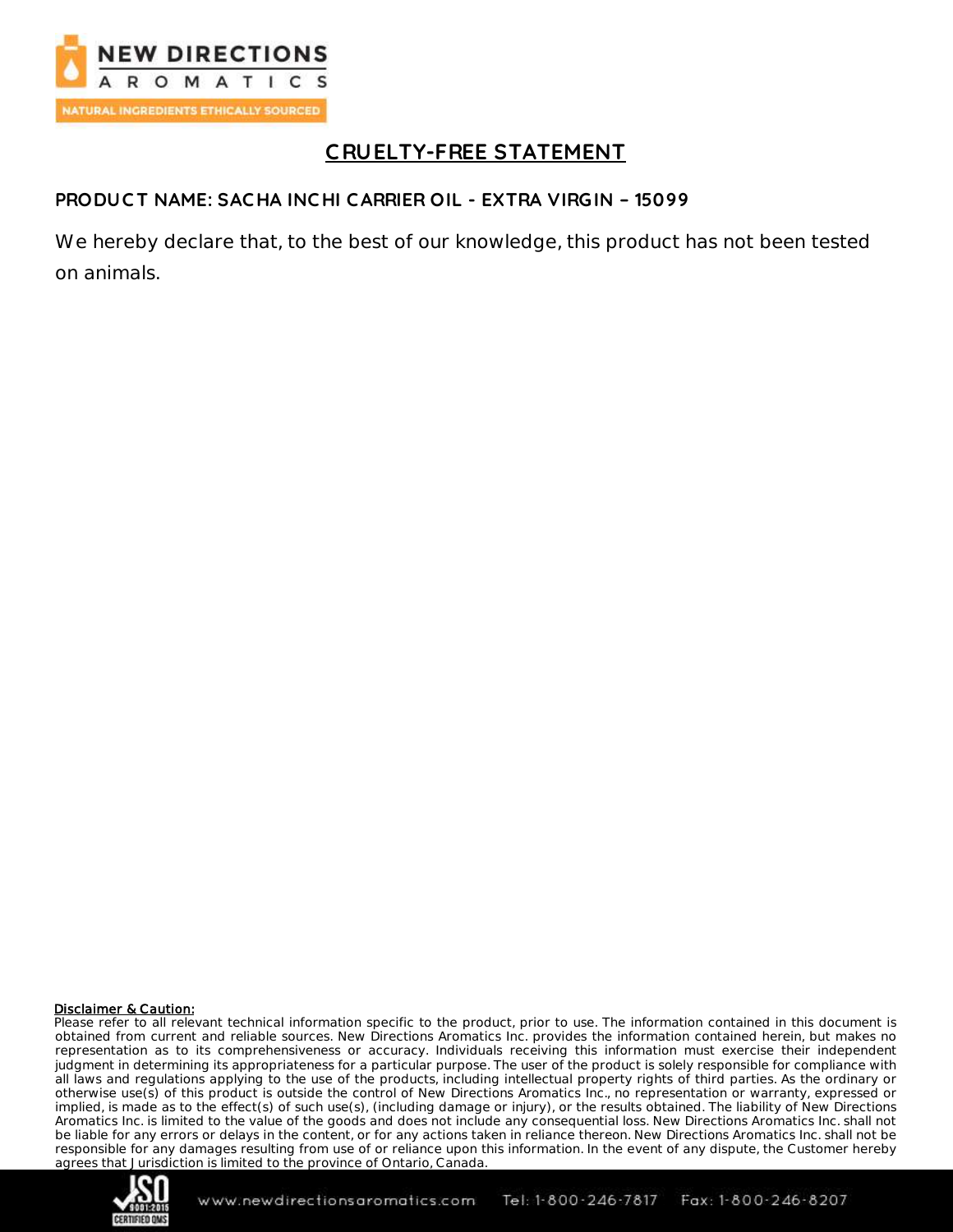

# **C RUELTY-FREE STATEMENT**

### **PRODUC T NAME: SAC HA INC HI CARRIER OIL - EXTRA VIRGIN – 15099**

We hereby declare that, to the best of our knowledge, this product has not been tested on animals.

#### Disclaimer & Caution:

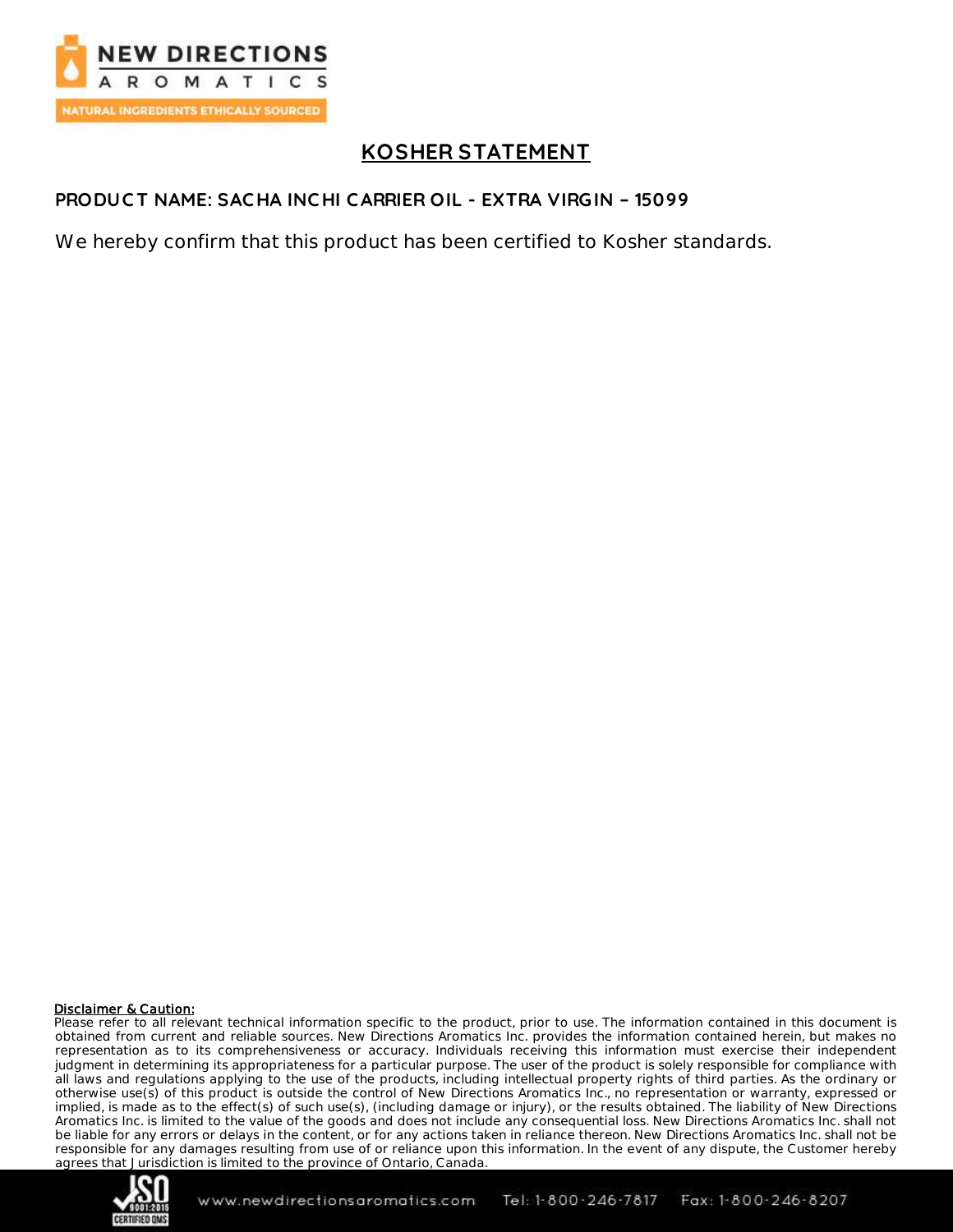

## **KOSHER STATEMENT**

#### **PRODUC T NAME: SAC HA INC HI CARRIER OIL - EXTRA VIRGIN – 15099**

We hereby confirm that this product has been certified to Kosher standards.

#### Disclaimer & Caution:

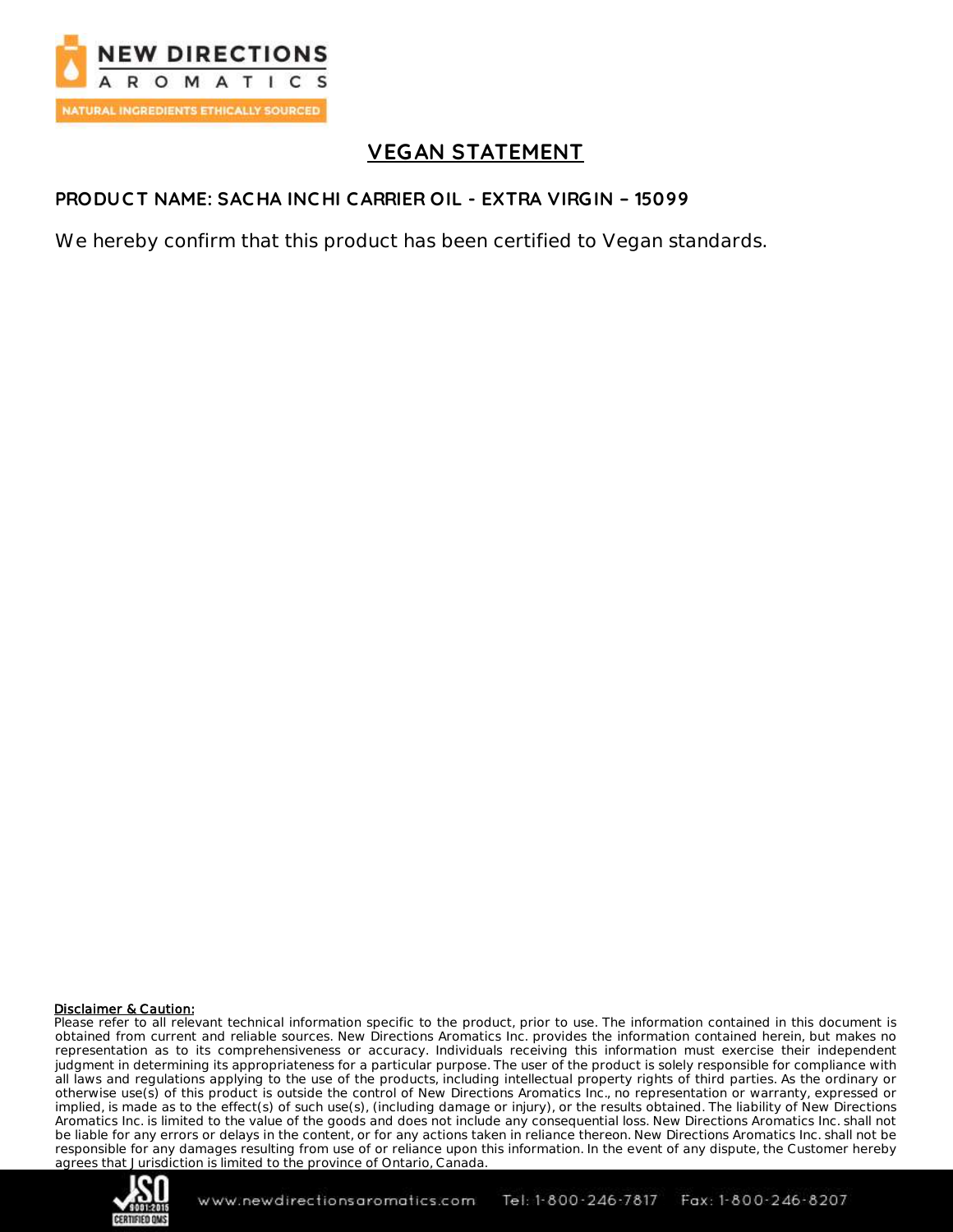

# **VEGAN STATEMENT**

#### **PRODUC T NAME: SAC HA INC HI CARRIER OIL - EXTRA VIRGIN – 15099**

We hereby confirm that this product has been certified to Vegan standards.

#### Disclaimer & Caution:

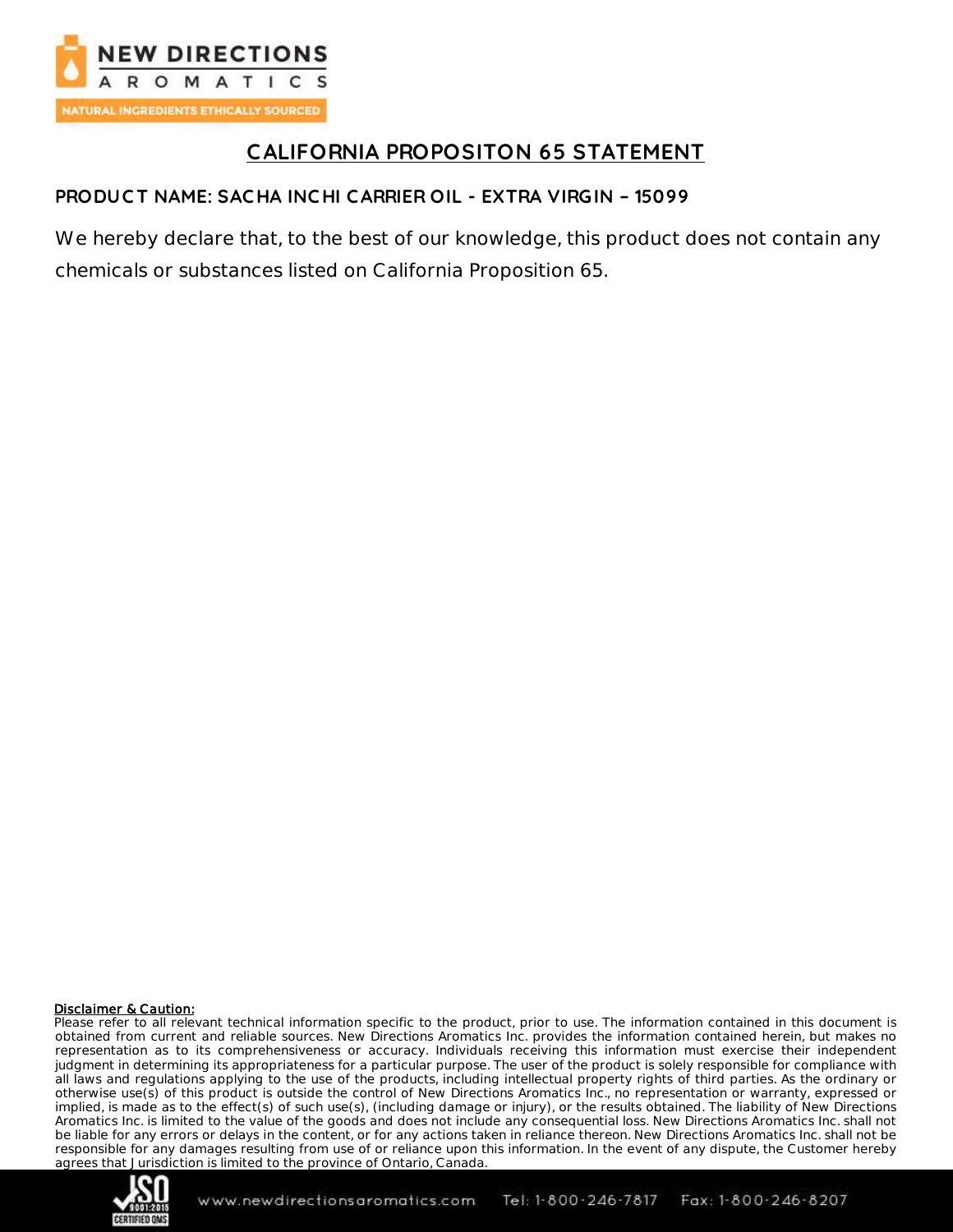

# **CALIFORNIA PROPOSITON 65 STATEMENT**

## **PRODUC T NAME: SAC HA INC HI CARRIER OIL - EXTRA VIRGIN – 15099**

We hereby declare that, to the best of our knowledge, this product does not contain any chemicals or substances listed on California Proposition 65.

#### Disclaimer & Caution: